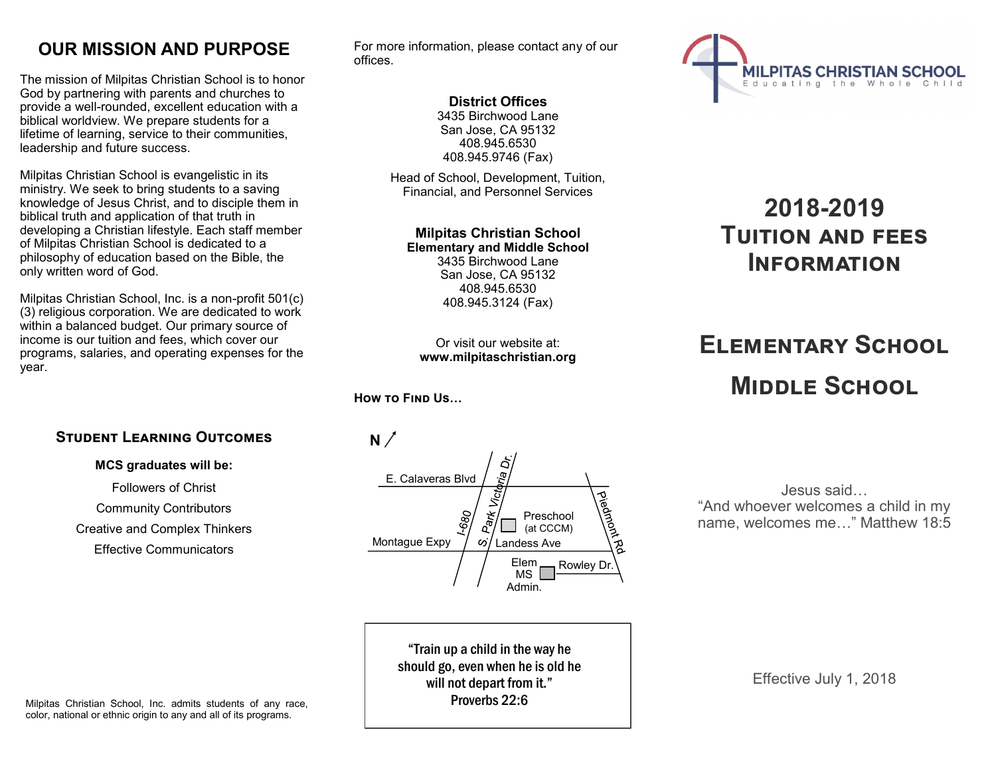## **OUR MISSION AND PURPOSE**

The mission of Milpitas Christian School is to honor God by partnering with parents and churches to provide a well-rounded, excellent education with a biblical worldview. We prepare students for a lifetime of learning, service to their communities, leadership and future success.

Milpitas Christian School is evangelistic in its ministry. We seek to bring students to a saving knowledge of Jesus Christ, and to disciple them in biblical truth and application of that truth in developing a Christian lifestyle. Each staff member of Milpitas Christian School is dedicated to a philosophy of education based on the Bible, the only written word of God.

Milpitas Christian School, Inc. is a non-profit 501(c) (3) religious corporation. We are dedicated to work within a balanced budget. Our primary source of income is our tuition and fees, which cover our programs, salaries, and operating expenses for the year.

## **Student Learning Outcomes**

#### **MCS graduates will be:**

Followers of Christ Community Contributors Creative and Complex Thinkers Effective Communicators

For more information, please contact any of our offices.

## **District Offices**

3435 Birchwood Lane San Jose, CA 95132 408.945.6530 408.945.9746 (Fax)

Head of School, Development, Tuition, Financial, and Personnel Services

#### **Milpitas Christian School Elementary and Middle School** 3435 Birchwood Lane San Jose, CA 95132 408.945.6530

Or visit our website at: **www.milpitaschristian.org**

408.945.3124 (Fax)

## **How to Find Us…**



"Train up a child in the way he should go, even when he is old he will not depart from it." Proverbs 22:6



# **2018-2019 Tuition and fees Information**

# **Elementary School Middle School**

Jesus said… "And whoever welcomes a child in my name, welcomes me…" Matthew 18:5

Effective July 1, 2018

Milpitas Christian School, Inc. admits students of any race, color, national or ethnic origin to any and all of its programs.